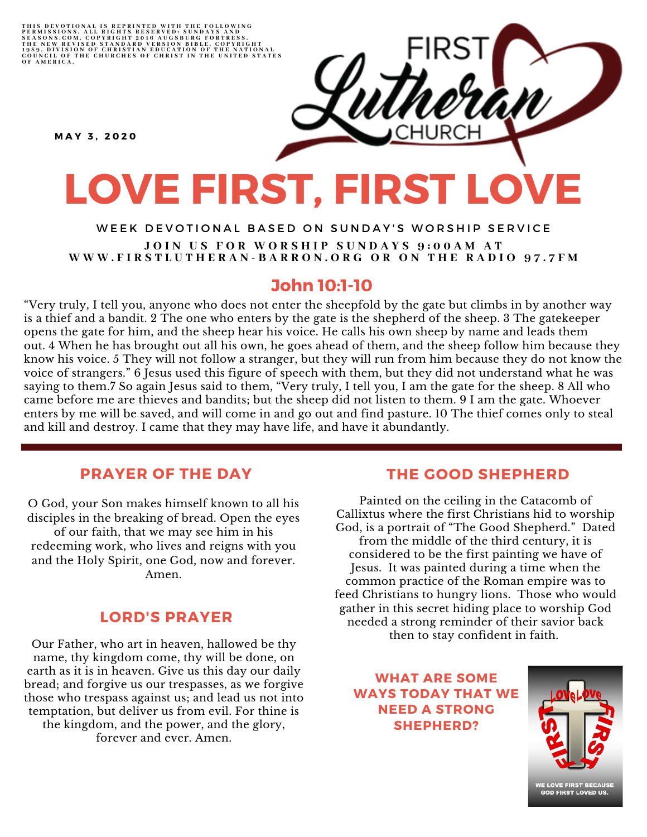THIS DEVOTIONAL IS REPRINTED WITH THE FOLLOWING<br>PERMISSIONS, ALL RIGHTS RESERVED: SUNDAYS AND<br>SEASONS.COM. COPYRIGHT 2016 AUGSBURG FORTRESS.<br>THE NEW REVISED STANDARD VERSION BIBLE, COPYRIGHT<br>1959, DIVISION OF CHRISTIAN EDU

**M A Y 3 , 2 0 2 0**

# **LOVE FIRST, FIRST LOVE**

#### WEEK DEVOTIONAL BASED ON SUNDAY'S WORSHIP SERVICE JOIN US FOR WORSHIP SUNDAYS 9:00AM AT WWW.FIRSTLUTHERAN-BARRON.ORG OR ON THE RADIO 97.7FM

# **John 10:1-10**

"Very truly, I tell you, anyone who does not enter the sheepfold by the gate but climbs in by another way is a thief and a bandit. 2 The one who enters by the gate is the shepherd of the sheep. 3 The gatekeeper opens the gate for him, and the sheep hear his voice. He calls his own sheep by name and leads them out. 4 When he has brought out all his own, he goes ahead of them, and the sheep follow him because they know his voice. 5 They will not follow a stranger, but they will run from him because they do not know the voice of strangers." 6 Jesus used this figure of speech with them, but they did not understand what he was saying to them.7 So again Jesus said to them, "Very truly, I tell you, I am the gate for the sheep. 8 All who came before me are thieves and bandits; but the sheep did not listen to them. 9 I am the gate. Whoever enters by me will be saved, and will come in and go out and find pasture. 10 The thief comes only to steal and kill and destroy. I came that they may have life, and have it abundantly.

## **PRAYER OF THE DAY**

O God, your Son makes himself known to all his disciples in the breaking of bread. Open the eyes of our faith, that we may see him in his redeeming work, who lives and reigns with you and the Holy Spirit, one God, now and forever. Amen.

## **LORD'S PRAYER**

Our Father, who art in heaven, hallowed be thy name, thy kingdom come, thy will be done, on earth as it is in heaven. Give us this day our daily bread; and forgive us our trespasses, as we forgive those who trespass against us; and lead us not into temptation, but deliver us from evil. For thine is the kingdom, and the power, and the glory, forever and ever. Amen.

#### **THE GOOD SHEPHERD**

Painted on the ceiling in the Catacomb of Callixtus where the first Christians hid to worship God, is a portrait of "The Good Shepherd." Dated from the middle of the third century, it is considered to be the first painting we have of Jesus. It was painted during a time when the common practice of the Roman empire was to feed Christians to hungry lions. Those who would gather in this secret hiding place to worship God needed a strong reminder of their savior back then to stay confident in faith.

**WHAT ARE SOME WAYS TODAY THAT WE NEED A STRONG SHEPHERD?**